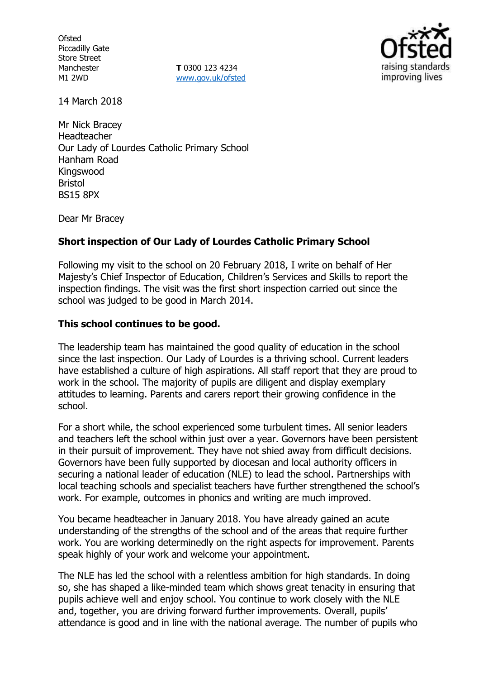**Ofsted** Piccadilly Gate Store Street Manchester M1 2WD

**T** 0300 123 4234 www.gov.uk/ofsted



14 March 2018

Mr Nick Bracey Headteacher Our Lady of Lourdes Catholic Primary School Hanham Road Kingswood Bristol BS15 8PX

Dear Mr Bracey

## **Short inspection of Our Lady of Lourdes Catholic Primary School**

Following my visit to the school on 20 February 2018, I write on behalf of Her Majesty's Chief Inspector of Education, Children's Services and Skills to report the inspection findings. The visit was the first short inspection carried out since the school was judged to be good in March 2014.

### **This school continues to be good.**

The leadership team has maintained the good quality of education in the school since the last inspection. Our Lady of Lourdes is a thriving school. Current leaders have established a culture of high aspirations. All staff report that they are proud to work in the school. The majority of pupils are diligent and display exemplary attitudes to learning. Parents and carers report their growing confidence in the school.

For a short while, the school experienced some turbulent times. All senior leaders and teachers left the school within just over a year. Governors have been persistent in their pursuit of improvement. They have not shied away from difficult decisions. Governors have been fully supported by diocesan and local authority officers in securing a national leader of education (NLE) to lead the school. Partnerships with local teaching schools and specialist teachers have further strengthened the school's work. For example, outcomes in phonics and writing are much improved.

You became headteacher in January 2018. You have already gained an acute understanding of the strengths of the school and of the areas that require further work. You are working determinedly on the right aspects for improvement. Parents speak highly of your work and welcome your appointment.

The NLE has led the school with a relentless ambition for high standards. In doing so, she has shaped a like-minded team which shows great tenacity in ensuring that pupils achieve well and enjoy school. You continue to work closely with the NLE and, together, you are driving forward further improvements. Overall, pupils' attendance is good and in line with the national average. The number of pupils who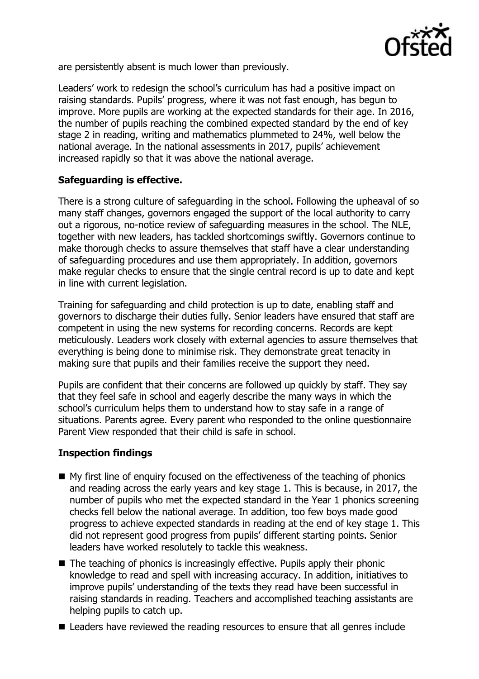

are persistently absent is much lower than previously.

Leaders' work to redesign the school's curriculum has had a positive impact on raising standards. Pupils' progress, where it was not fast enough, has begun to improve. More pupils are working at the expected standards for their age. In 2016, the number of pupils reaching the combined expected standard by the end of key stage 2 in reading, writing and mathematics plummeted to 24%, well below the national average. In the national assessments in 2017, pupils' achievement increased rapidly so that it was above the national average.

# **Safeguarding is effective.**

There is a strong culture of safeguarding in the school. Following the upheaval of so many staff changes, governors engaged the support of the local authority to carry out a rigorous, no-notice review of safeguarding measures in the school. The NLE, together with new leaders, has tackled shortcomings swiftly. Governors continue to make thorough checks to assure themselves that staff have a clear understanding of safeguarding procedures and use them appropriately. In addition, governors make regular checks to ensure that the single central record is up to date and kept in line with current legislation.

Training for safeguarding and child protection is up to date, enabling staff and governors to discharge their duties fully. Senior leaders have ensured that staff are competent in using the new systems for recording concerns. Records are kept meticulously. Leaders work closely with external agencies to assure themselves that everything is being done to minimise risk. They demonstrate great tenacity in making sure that pupils and their families receive the support they need.

Pupils are confident that their concerns are followed up quickly by staff. They say that they feel safe in school and eagerly describe the many ways in which the school's curriculum helps them to understand how to stay safe in a range of situations. Parents agree. Every parent who responded to the online questionnaire Parent View responded that their child is safe in school.

### **Inspection findings**

- My first line of enquiry focused on the effectiveness of the teaching of phonics and reading across the early years and key stage 1. This is because, in 2017, the number of pupils who met the expected standard in the Year 1 phonics screening checks fell below the national average. In addition, too few boys made good progress to achieve expected standards in reading at the end of key stage 1. This did not represent good progress from pupils' different starting points. Senior leaders have worked resolutely to tackle this weakness.
- The teaching of phonics is increasingly effective. Pupils apply their phonic knowledge to read and spell with increasing accuracy. In addition, initiatives to improve pupils' understanding of the texts they read have been successful in raising standards in reading. Teachers and accomplished teaching assistants are helping pupils to catch up.
- Leaders have reviewed the reading resources to ensure that all genres include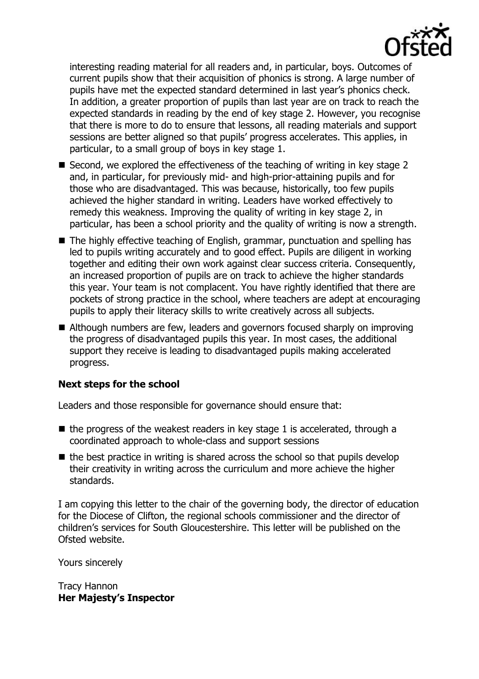

interesting reading material for all readers and, in particular, boys. Outcomes of current pupils show that their acquisition of phonics is strong. A large number of pupils have met the expected standard determined in last year's phonics check. In addition, a greater proportion of pupils than last year are on track to reach the expected standards in reading by the end of key stage 2. However, you recognise that there is more to do to ensure that lessons, all reading materials and support sessions are better aligned so that pupils' progress accelerates. This applies, in particular, to a small group of boys in key stage 1.

- Second, we explored the effectiveness of the teaching of writing in key stage 2 and, in particular, for previously mid- and high-prior-attaining pupils and for those who are disadvantaged. This was because, historically, too few pupils achieved the higher standard in writing. Leaders have worked effectively to remedy this weakness. Improving the quality of writing in key stage 2, in particular, has been a school priority and the quality of writing is now a strength.
- The highly effective teaching of English, grammar, punctuation and spelling has led to pupils writing accurately and to good effect. Pupils are diligent in working together and editing their own work against clear success criteria. Consequently, an increased proportion of pupils are on track to achieve the higher standards this year. Your team is not complacent. You have rightly identified that there are pockets of strong practice in the school, where teachers are adept at encouraging pupils to apply their literacy skills to write creatively across all subjects.
- Although numbers are few, leaders and governors focused sharply on improving the progress of disadvantaged pupils this year. In most cases, the additional support they receive is leading to disadvantaged pupils making accelerated progress.

# **Next steps for the school**

Leaders and those responsible for governance should ensure that:

- $\blacksquare$  the progress of the weakest readers in key stage 1 is accelerated, through a coordinated approach to whole-class and support sessions
- $\blacksquare$  the best practice in writing is shared across the school so that pupils develop their creativity in writing across the curriculum and more achieve the higher standards.

I am copying this letter to the chair of the governing body, the director of education for the Diocese of Clifton, the regional schools commissioner and the director of children's services for South Gloucestershire. This letter will be published on the Ofsted website.

Yours sincerely

Tracy Hannon **Her Majesty's Inspector**